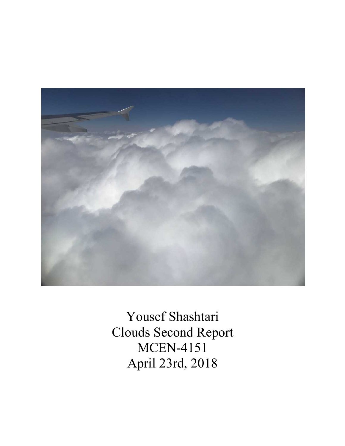

Yousef Shashtari Clouds Second Report MCEN-4151 April 23rd, 2018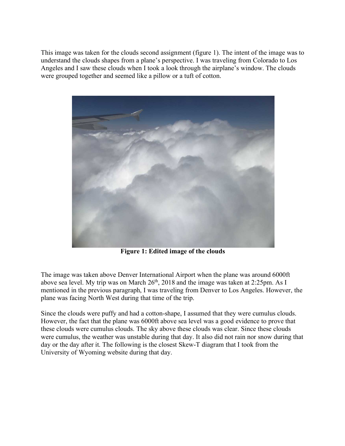This image was taken for the clouds second assignment (figure 1). The intent of the image was to understand the clouds shapes from a plane's perspective. I was traveling from Colorado to Los Angeles and I saw these clouds when I took a look through the airplane's window. The clouds were grouped together and seemed like a pillow or a tuft of cotton.



**Figure 1: Edited image of the clouds**

The image was taken above Denver International Airport when the plane was around 6000ft above sea level. My trip was on March 26<sup>th</sup>, 2018 and the image was taken at 2:25pm. As I mentioned in the previous paragraph, I was traveling from Denver to Los Angeles. However, the plane was facing North West during that time of the trip.

Since the clouds were puffy and had a cotton-shape, I assumed that they were cumulus clouds. However, the fact that the plane was 6000ft above sea level was a good evidence to prove that these clouds were cumulus clouds. The sky above these clouds was clear. Since these clouds were cumulus, the weather was unstable during that day. It also did not rain nor snow during that day or the day after it. The following is the closest Skew-T diagram that I took from the University of Wyoming website during that day.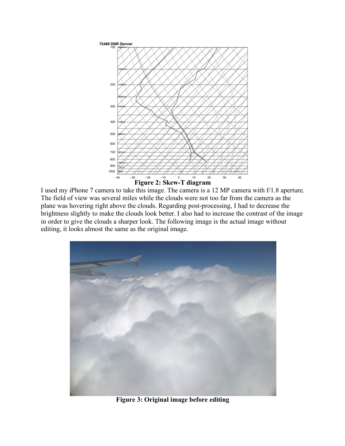

I used my iPhone 7 camera to take this image. The camera is a 12 MP camera with f/1.8 aperture. The field of view was several miles while the clouds were not too far from the camera as the plane was hovering right above the clouds. Regarding post-processing, I had to decrease the brightness slightly to make the clouds look better. I also had to increase the contrast of the image in order to give the clouds a sharper look. The following image is the actual image without editing, it looks almost the same as the original image.



**Figure 3: Original image before editing**